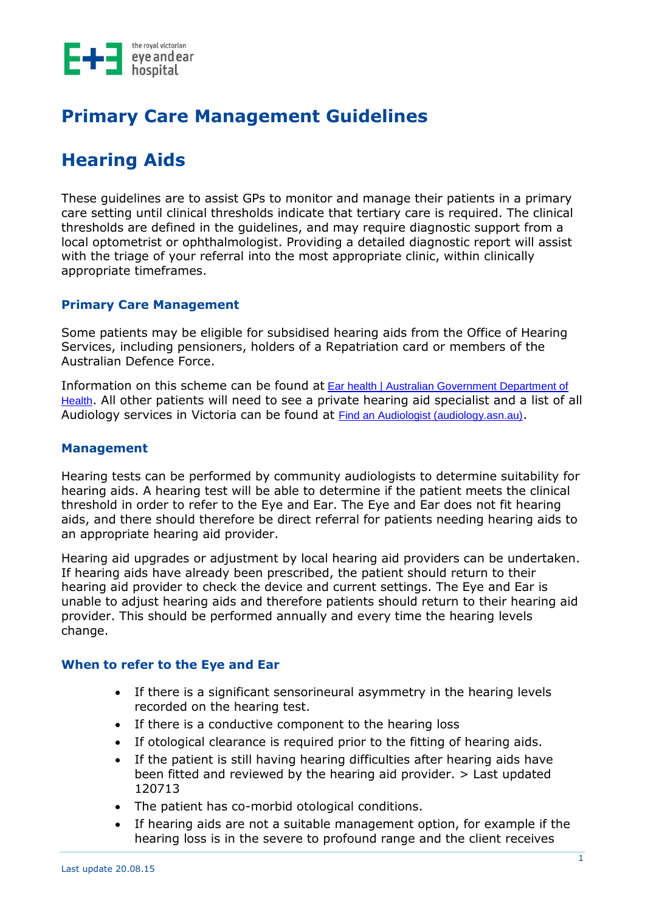

# **Primary Care Management Guidelines**

# **Hearing Aids**

These guidelines are to assist GPs to monitor and manage their patients in a primary care setting until clinical thresholds indicate that tertiary care is required. The clinical thresholds are defined in the guidelines, and may require diagnostic support from a local optometrist or ophthalmologist. Providing a detailed diagnostic report will assist with the triage of your referral into the most appropriate clinic, within clinically appropriate timeframes.

#### **Primary Care Management**

Some patients may be eligible for subsidised hearing aids from the Office of Hearing Services, including pensioners, holders of a Repatriation card or members of the Australian Defence Force.

Information on this scheme can be found at [Ear health | Australian Government Department of](https://www.health.gov.au/health-topics/ear-health)  [Health](https://www.health.gov.au/health-topics/ear-health). All other patients will need to see a private hearing aid specialist and a list of all Audiology services in Victoria can be found at [Find an Audiologist \(audiology.asn.au\)](https://audiology.asn.au/ccms.r?pageid=10217&TenID=AUDA).

#### **Management**

Hearing tests can be performed by community audiologists to determine suitability for hearing aids. A hearing test will be able to determine if the patient meets the clinical threshold in order to refer to the Eye and Ear. The Eye and Ear does not fit hearing aids, and there should therefore be direct referral for patients needing hearing aids to an appropriate hearing aid provider.

Hearing aid upgrades or adjustment by local hearing aid providers can be undertaken. If hearing aids have already been prescribed, the patient should return to their hearing aid provider to check the device and current settings. The Eye and Ear is unable to adjust hearing aids and therefore patients should return to their hearing aid provider. This should be performed annually and every time the hearing levels change.

#### **When to refer to the Eye and Ear**

- If there is a significant sensorineural asymmetry in the hearing levels recorded on the hearing test.
- If there is a conductive component to the hearing loss
- If otological clearance is required prior to the fitting of hearing aids.
- If the patient is still having hearing difficulties after hearing aids have been fitted and reviewed by the hearing aid provider. > Last updated 120713
- The patient has co-morbid otological conditions.
- If hearing aids are not a suitable management option, for example if the hearing loss is in the severe to profound range and the client receives